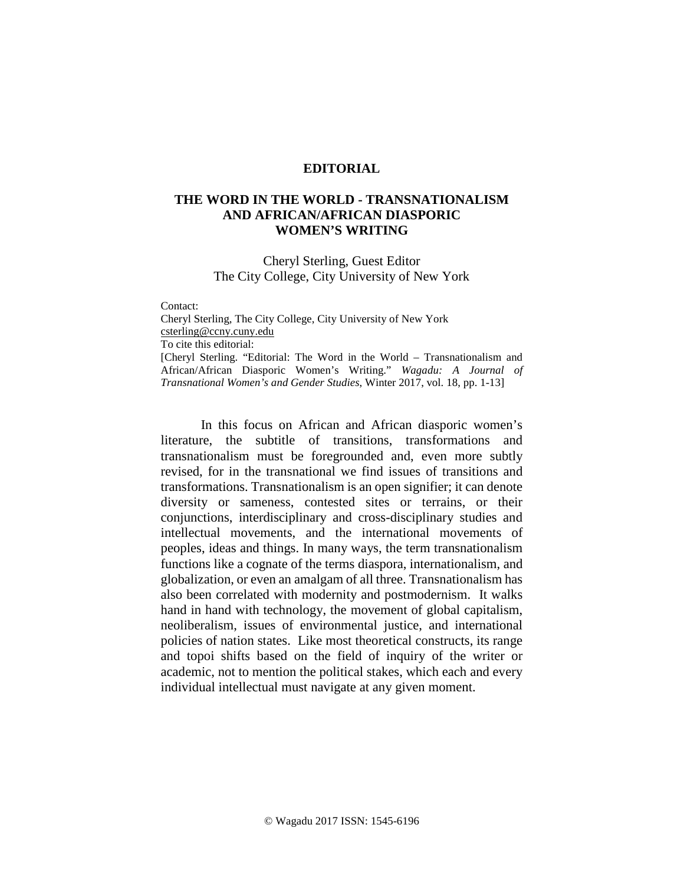## **EDITORIAL**

## **THE WORD IN THE WORLD - TRANSNATIONALISM AND AFRICAN/AFRICAN DIASPORIC WOMEN'S WRITING**

Cheryl Sterling, Guest Editor The City College, City University of New York

Contact:

Cheryl Sterling, The City College, City University of New York [csterling@ccny.cuny.edu](mailto:csterling@ccny.cuny.edu) To cite this editorial: [Cheryl Sterling. "Editorial: The Word in the World – Transnationalism and African/African Diasporic Women's Writing." *Wagadu: A Journal of Transnational Women's and Gender Studies*, Winter 2017, vol. 18, pp. 1-13]

In this focus on African and African diasporic women's literature, the subtitle of transitions, transformations and transnationalism must be foregrounded and, even more subtly revised, for in the transnational we find issues of transitions and transformations. Transnationalism is an open signifier; it can denote diversity or sameness, contested sites or terrains, or their conjunctions, interdisciplinary and cross-disciplinary studies and intellectual movements, and the international movements of peoples, ideas and things. In many ways, the term transnationalism functions like a cognate of the terms diaspora, internationalism, and globalization, or even an amalgam of all three. Transnationalism has also been correlated with modernity and postmodernism. It walks hand in hand with technology, the movement of global capitalism, neoliberalism, issues of environmental justice, and international policies of nation states. Like most theoretical constructs, its range and topoi shifts based on the field of inquiry of the writer or academic, not to mention the political stakes, which each and every individual intellectual must navigate at any given moment.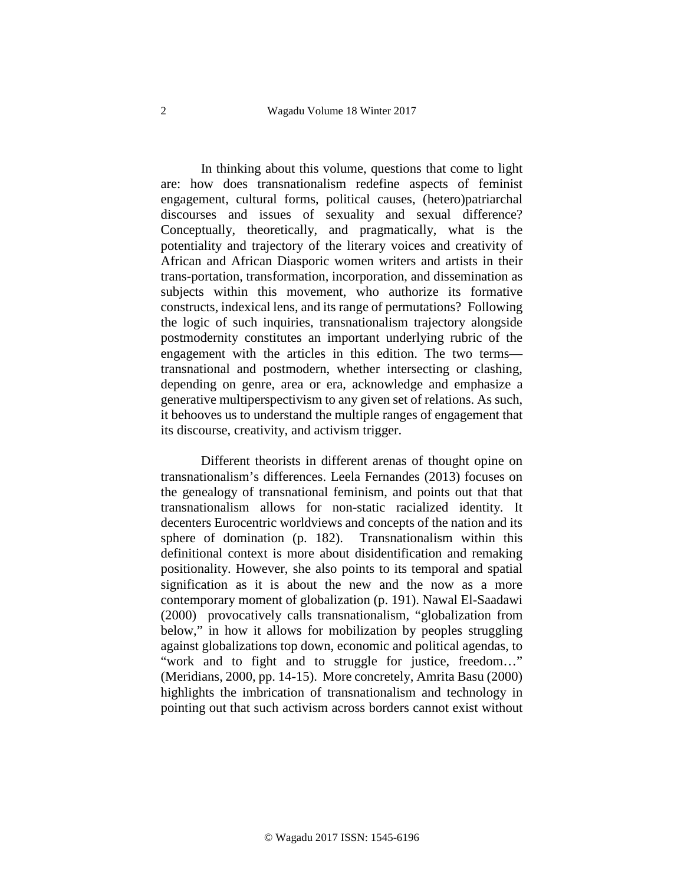In thinking about this volume, questions that come to light are: how does transnationalism redefine aspects of feminist engagement, cultural forms, political causes, (hetero)patriarchal discourses and issues of sexuality and sexual difference? Conceptually, theoretically, and pragmatically, what is the potentiality and trajectory of the literary voices and creativity of African and African Diasporic women writers and artists in their trans-portation, transformation, incorporation, and dissemination as subjects within this movement, who authorize its formative constructs, indexical lens, and its range of permutations? Following the logic of such inquiries, transnationalism trajectory alongside postmodernity constitutes an important underlying rubric of the engagement with the articles in this edition. The two terms transnational and postmodern, whether intersecting or clashing, depending on genre, area or era, acknowledge and emphasize a generative multiperspectivism to any given set of relations. As such, it behooves us to understand the multiple ranges of engagement that its discourse, creativity, and activism trigger.

Different theorists in different arenas of thought opine on transnationalism's differences. Leela Fernandes (2013) focuses on the genealogy of transnational feminism, and points out that that transnationalism allows for non-static racialized identity. It decenters Eurocentric worldviews and concepts of the nation and its sphere of domination (p. 182). Transnationalism within this definitional context is more about disidentification and remaking positionality. However, she also points to its temporal and spatial signification as it is about the new and the now as a more contemporary moment of globalization (p. 191). Nawal El-Saadawi (2000) provocatively calls transnationalism, "globalization from below," in how it allows for mobilization by peoples struggling against globalizations top down, economic and political agendas, to "work and to fight and to struggle for justice, freedom…" (Meridians, 2000, pp. 14-15). More concretely, Amrita Basu (2000) highlights the imbrication of transnationalism and technology in pointing out that such activism across borders cannot exist without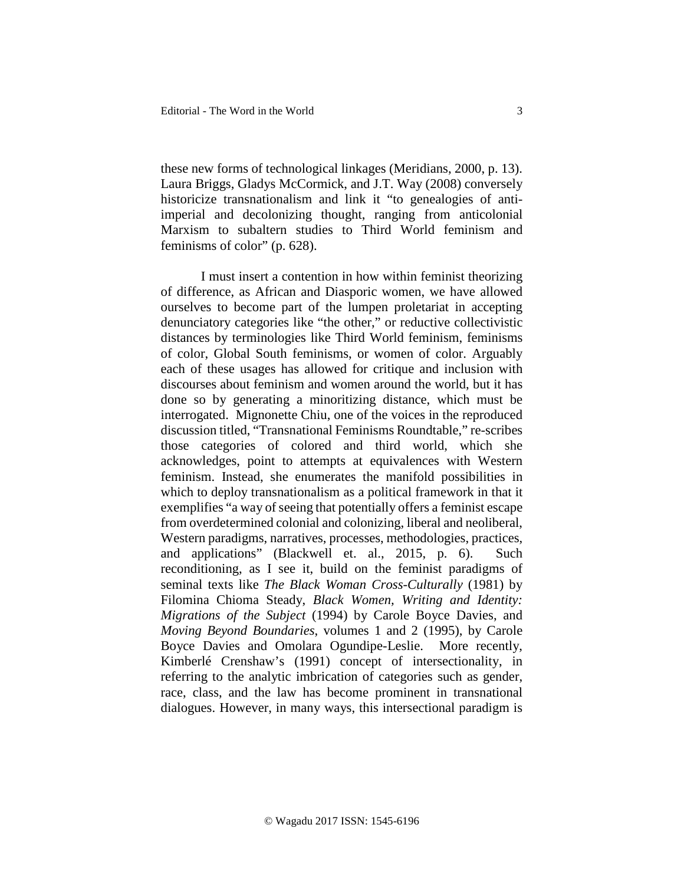these new forms of technological linkages (Meridians, 2000, p. 13). Laura Briggs, Gladys McCormick, and J.T. Way (2008) conversely historicize transnationalism and link it "to genealogies of antiimperial and decolonizing thought, ranging from anticolonial Marxism to subaltern studies to Third World feminism and feminisms of color" (p. 628).

I must insert a contention in how within feminist theorizing of difference, as African and Diasporic women, we have allowed ourselves to become part of the lumpen proletariat in accepting denunciatory categories like "the other," or reductive collectivistic distances by terminologies like Third World feminism, feminisms of color, Global South feminisms, or women of color. Arguably each of these usages has allowed for critique and inclusion with discourses about feminism and women around the world, but it has done so by generating a minoritizing distance, which must be interrogated. Mignonette Chiu, one of the voices in the reproduced discussion titled, "Transnational Feminisms Roundtable," re-scribes those categories of colored and third world, which she acknowledges, point to attempts at equivalences with Western feminism. Instead, she enumerates the manifold possibilities in which to deploy transnationalism as a political framework in that it exemplifies "a way of seeing that potentially offers a feminist escape from overdetermined colonial and colonizing, liberal and neoliberal, Western paradigms, narratives, processes, methodologies, practices, and applications" (Blackwell et. al., 2015, p. 6). Such reconditioning, as I see it, build on the feminist paradigms of seminal texts like *The Black Woman Cross-Culturally* (1981) by Filomina Chioma Steady, *Black Women, Writing and Identity: Migrations of the Subject* (1994) by Carole Boyce Davies, and *Moving Beyond Boundaries*, volumes 1 and 2 (1995), by Carole Boyce Davies and Omolara Ogundipe-Leslie. More recently, Kimberlé Crenshaw's (1991) concept of intersectionality, in referring to the analytic imbrication of categories such as gender, race, class, and the law has become prominent in transnational dialogues. However, in many ways, this intersectional paradigm is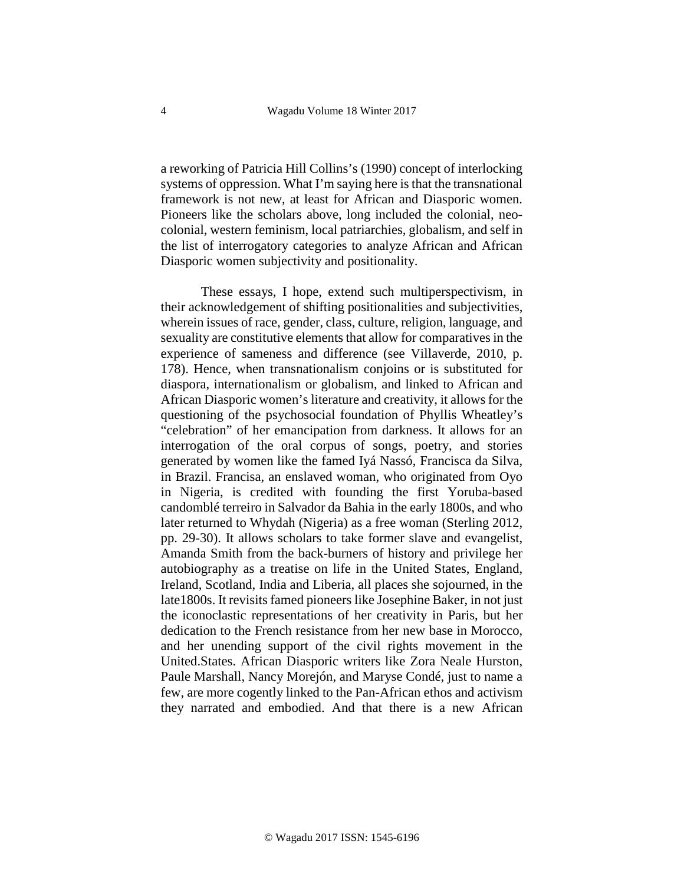a reworking of Patricia Hill Collins's (1990) concept of interlocking systems of oppression. What I'm saying here is that the transnational framework is not new, at least for African and Diasporic women. Pioneers like the scholars above, long included the colonial, neocolonial, western feminism, local patriarchies, globalism, and self in the list of interrogatory categories to analyze African and African Diasporic women subjectivity and positionality.

These essays, I hope, extend such multiperspectivism, in their acknowledgement of shifting positionalities and subjectivities, wherein issues of race, gender, class, culture, religion, language, and sexuality are constitutive elements that allow for comparatives in the experience of sameness and difference (see Villaverde, 2010, p. 178). Hence, when transnationalism conjoins or is substituted for diaspora, internationalism or globalism, and linked to African and African Diasporic women's literature and creativity, it allows for the questioning of the psychosocial foundation of Phyllis Wheatley's "celebration" of her emancipation from darkness. It allows for an interrogation of the oral corpus of songs, poetry, and stories generated by women like the famed Iyá Nassó, Francisca da Silva, in Brazil. Francisa, an enslaved woman, who originated from Oyo in Nigeria, is credited with founding the first Yoruba-based candomblé terreiro in Salvador da Bahia in the early 1800s, and who later returned to Whydah (Nigeria) as a free woman (Sterling 2012, pp. 29-30). It allows scholars to take former slave and evangelist, Amanda Smith from the back-burners of history and privilege her autobiography as a treatise on life in the United States, England, Ireland, Scotland, India and Liberia, all places she sojourned, in the late1800s. It revisits famed pioneers like Josephine Baker, in not just the iconoclastic representations of her creativity in Paris, but her dedication to the French resistance from her new base in Morocco, and her unending support of the civil rights movement in the United.States. African Diasporic writers like Zora Neale Hurston, Paule Marshall, Nancy Morejón, and Maryse Condé, just to name a few, are more cogently linked to the Pan-African ethos and activism they narrated and embodied. And that there is a new African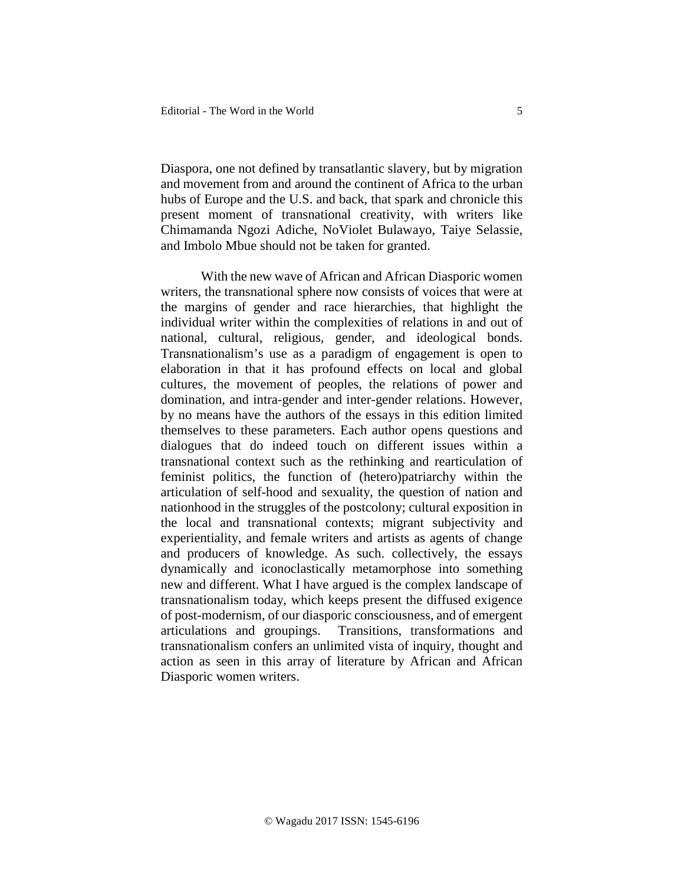Diaspora, one not defined by transatlantic slavery, but by migration and movement from and around the continent of Africa to the urban hubs of Europe and the U.S. and back, that spark and chronicle this present moment of transnational creativity, with writers like Chimamanda Ngozi Adiche, NoViolet Bulawayo, Taiye Selassie, and Imbolo Mbue should not be taken for granted.

With the new wave of African and African Diasporic women writers, the transnational sphere now consists of voices that were at the margins of gender and race hierarchies, that highlight the individual writer within the complexities of relations in and out of national, cultural, religious, gender, and ideological bonds. Transnationalism's use as a paradigm of engagement is open to elaboration in that it has profound effects on local and global cultures, the movement of peoples, the relations of power and domination, and intra-gender and inter-gender relations. However, by no means have the authors of the essays in this edition limited themselves to these parameters. Each author opens questions and dialogues that do indeed touch on different issues within a transnational context such as the rethinking and rearticulation of feminist politics, the function of (hetero)patriarchy within the articulation of self-hood and sexuality, the question of nation and nationhood in the struggles of the postcolony; cultural exposition in the local and transnational contexts; migrant subjectivity and experientiality, and female writers and artists as agents of change and producers of knowledge. As such. collectively, the essays dynamically and iconoclastically metamorphose into something new and different. What I have argued is the complex landscape of transnationalism today, which keeps present the diffused exigence of post-modernism, of our diasporic consciousness, and of emergent articulations and groupings. Transitions, transformations and transnationalism confers an unlimited vista of inquiry, thought and action as seen in this array of literature by African and African Diasporic women writers.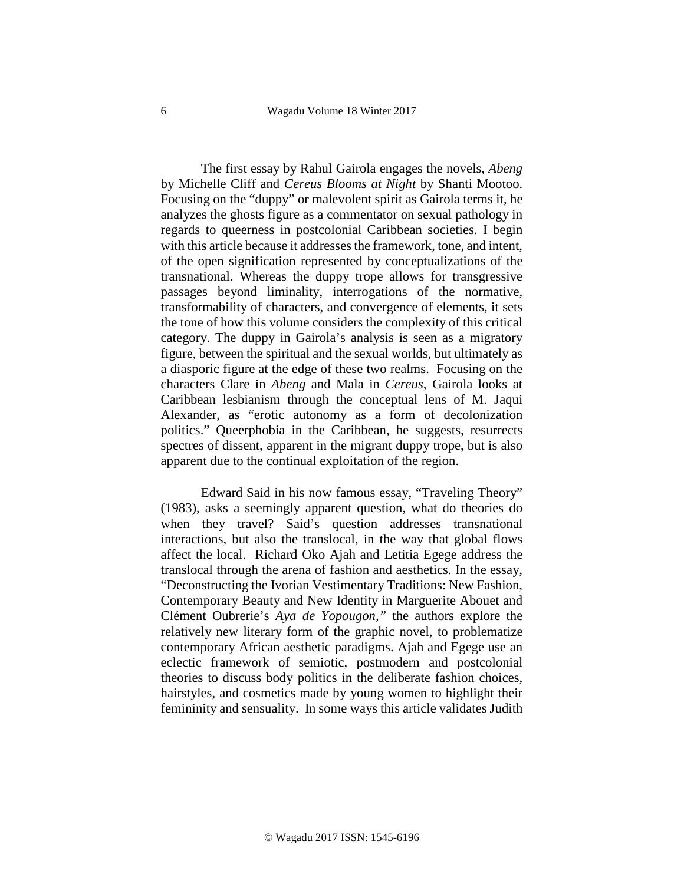The first essay by Rahul Gairola engages the novels, *Abeng* by Michelle Cliff and *Cereus Blooms at Night* by Shanti Mootoo. Focusing on the "duppy" or malevolent spirit as Gairola terms it, he analyzes the ghosts figure as a commentator on sexual pathology in regards to queerness in postcolonial Caribbean societies. I begin with this article because it addresses the framework, tone, and intent, of the open signification represented by conceptualizations of the transnational. Whereas the duppy trope allows for transgressive passages beyond liminality, interrogations of the normative, transformability of characters, and convergence of elements, it sets the tone of how this volume considers the complexity of this critical category. The duppy in Gairola's analysis is seen as a migratory figure, between the spiritual and the sexual worlds, but ultimately as a diasporic figure at the edge of these two realms. Focusing on the characters Clare in *Abeng* and Mala in *Cereus*, Gairola looks at Caribbean lesbianism through the conceptual lens of M. Jaqui Alexander, as "erotic autonomy as a form of decolonization politics." Queerphobia in the Caribbean, he suggests, resurrects spectres of dissent, apparent in the migrant duppy trope, but is also apparent due to the continual exploitation of the region.

Edward Said in his now famous essay, "Traveling Theory" (1983), asks a seemingly apparent question, what do theories do when they travel? Said's question addresses transnational interactions, but also the translocal, in the way that global flows affect the local. Richard Oko Ajah and Letitia Egege address the translocal through the arena of fashion and aesthetics. In the essay, "Deconstructing the Ivorian Vestimentary Traditions: New Fashion, Contemporary Beauty and New Identity in Marguerite Abouet and Clément Oubrerie's *Aya de Yopougon,"* the authors explore the relatively new literary form of the graphic novel, to problematize contemporary African aesthetic paradigms. Ajah and Egege use an eclectic framework of semiotic, postmodern and postcolonial theories to discuss body politics in the deliberate fashion choices, hairstyles, and cosmetics made by young women to highlight their femininity and sensuality. In some ways this article validates Judith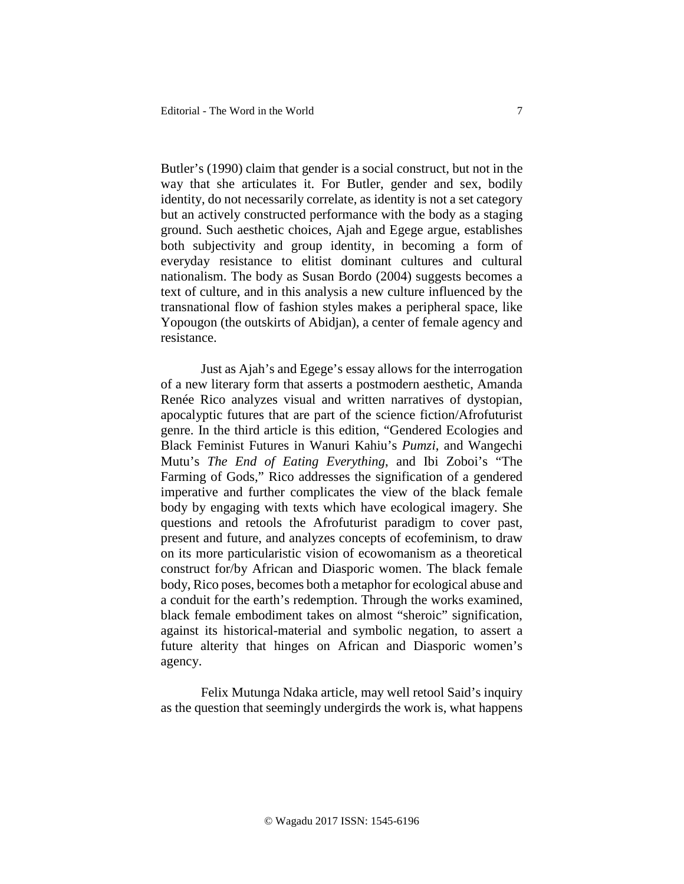Butler's (1990) claim that gender is a social construct, but not in the way that she articulates it. For Butler, gender and sex, bodily identity, do not necessarily correlate, as identity is not a set category but an actively constructed performance with the body as a staging ground. Such aesthetic choices, Ajah and Egege argue, establishes both subjectivity and group identity, in becoming a form of everyday resistance to elitist dominant cultures and cultural nationalism. The body as Susan Bordo (2004) suggests becomes a text of culture, and in this analysis a new culture influenced by the transnational flow of fashion styles makes a peripheral space, like Yopougon (the outskirts of Abidjan), a center of female agency and resistance.

Just as Ajah's and Egege's essay allows for the interrogation of a new literary form that asserts a postmodern aesthetic, Amanda Renée Rico analyzes visual and written narratives of dystopian, apocalyptic futures that are part of the science fiction/Afrofuturist genre. In the third article is this edition, "Gendered Ecologies and Black Feminist Futures in Wanuri Kahiu's *Pumzi*, and Wangechi Mutu's *The End of Eating Everything*, and Ibi Zoboi's "The Farming of Gods," Rico addresses the signification of a gendered imperative and further complicates the view of the black female body by engaging with texts which have ecological imagery. She questions and retools the Afrofuturist paradigm to cover past, present and future, and analyzes concepts of ecofeminism, to draw on its more particularistic vision of ecowomanism as a theoretical construct for/by African and Diasporic women. The black female body, Rico poses, becomes both a metaphor for ecological abuse and a conduit for the earth's redemption. Through the works examined, black female embodiment takes on almost "sheroic" signification, against its historical-material and symbolic negation, to assert a future alterity that hinges on African and Diasporic women's agency.

Felix Mutunga Ndaka article, may well retool Said's inquiry as the question that seemingly undergirds the work is, what happens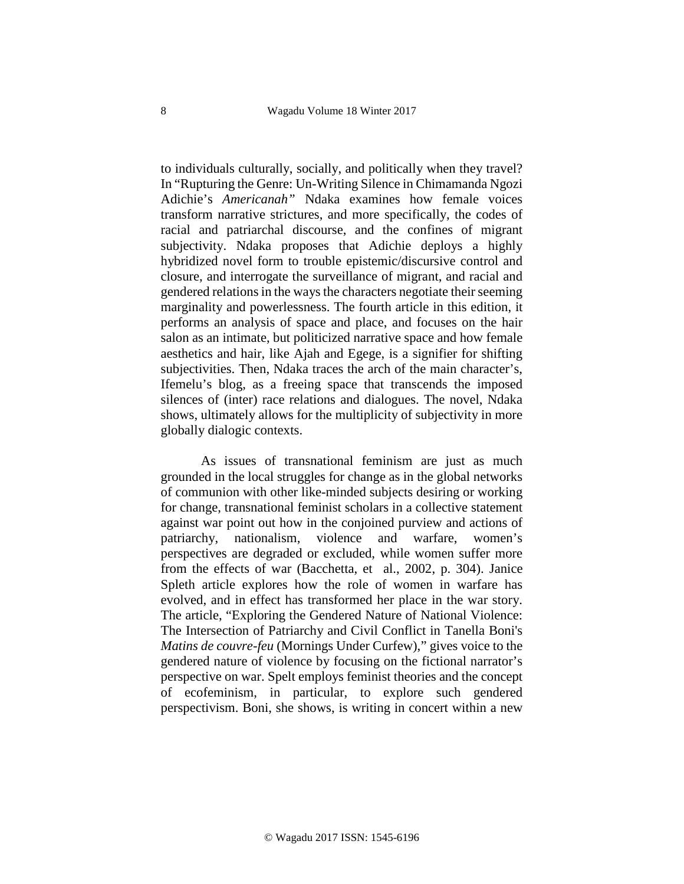to individuals culturally, socially, and politically when they travel? In "Rupturing the Genre: Un-Writing Silence in Chimamanda Ngozi Adichie's *Americanah"* Ndaka examines how female voices transform narrative strictures, and more specifically, the codes of racial and patriarchal discourse, and the confines of migrant subjectivity. Ndaka proposes that Adichie deploys a highly hybridized novel form to trouble epistemic/discursive control and closure, and interrogate the surveillance of migrant, and racial and gendered relations in the ways the characters negotiate their seeming marginality and powerlessness. The fourth article in this edition, it performs an analysis of space and place, and focuses on the hair salon as an intimate, but politicized narrative space and how female aesthetics and hair, like Ajah and Egege, is a signifier for shifting subjectivities. Then, Ndaka traces the arch of the main character's, Ifemelu's blog, as a freeing space that transcends the imposed silences of (inter) race relations and dialogues. The novel, Ndaka shows, ultimately allows for the multiplicity of subjectivity in more globally dialogic contexts.

As issues of transnational feminism are just as much grounded in the local struggles for change as in the global networks of communion with other like-minded subjects desiring or working for change, transnational feminist scholars in a collective statement against war point out how in the conjoined purview and actions of patriarchy, nationalism, violence and warfare, women's perspectives are degraded or excluded, while women suffer more from the effects of war (Bacchetta, et al., 2002, p. 304). Janice Spleth article explores how the role of women in warfare has evolved, and in effect has transformed her place in the war story. The article, "Exploring the Gendered Nature of National Violence: The Intersection of Patriarchy and Civil Conflict in Tanella Boni's *Matins de couvre-feu* (Mornings Under Curfew)," gives voice to the gendered nature of violence by focusing on the fictional narrator's perspective on war. Spelt employs feminist theories and the concept of ecofeminism, in particular, to explore such gendered perspectivism. Boni, she shows, is writing in concert within a new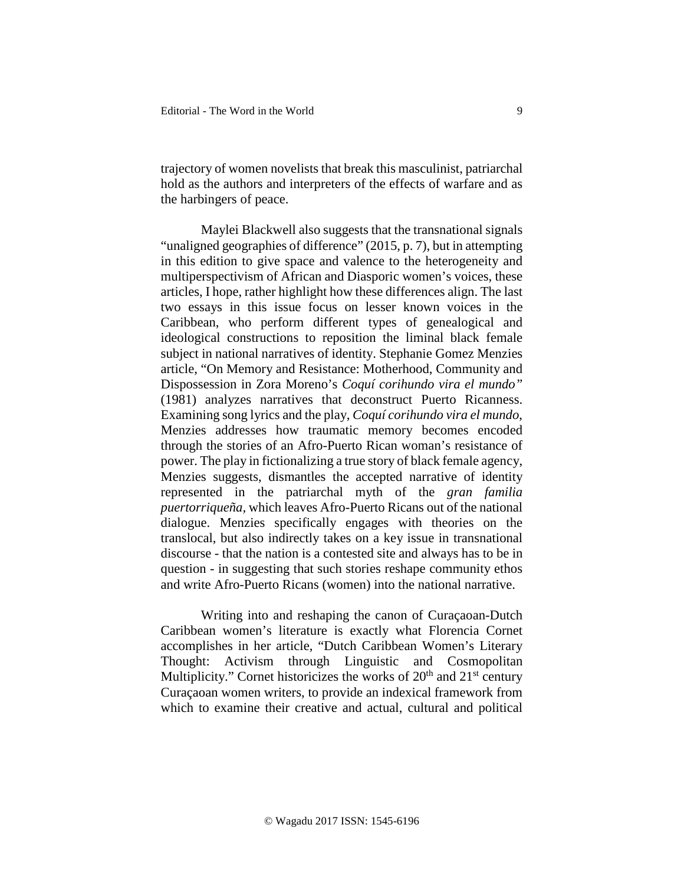trajectory of women novelists that break this masculinist, patriarchal hold as the authors and interpreters of the effects of warfare and as the harbingers of peace.

Maylei Blackwell also suggests that the transnational signals "unaligned geographies of difference" (2015, p. 7), but in attempting in this edition to give space and valence to the heterogeneity and multiperspectivism of African and Diasporic women's voices, these articles, I hope, rather highlight how these differences align. The last two essays in this issue focus on lesser known voices in the Caribbean, who perform different types of genealogical and ideological constructions to reposition the liminal black female subject in national narratives of identity. Stephanie Gomez Menzies article, "On Memory and Resistance: Motherhood, Community and Dispossession in Zora Moreno's *Coquí corihundo vira el mundo"*  (1981) analyzes narratives that deconstruct Puerto Ricanness. Examining song lyrics and the play, *Coquí corihundo vira el mundo*, Menzies addresses how traumatic memory becomes encoded through the stories of an Afro-Puerto Rican woman's resistance of power. The play in fictionalizing a true story of black female agency, Menzies suggests, dismantles the accepted narrative of identity represented in the patriarchal myth of the *gran familia puertorriqueña,* which leaves Afro-Puerto Ricans out of the national dialogue. Menzies specifically engages with theories on the translocal, but also indirectly takes on a key issue in transnational discourse - that the nation is a contested site and always has to be in question - in suggesting that such stories reshape community ethos and write Afro-Puerto Ricans (women) into the national narrative.

Writing into and reshaping the canon of Curaçaoan-Dutch Caribbean women's literature is exactly what Florencia Cornet accomplishes in her article, "Dutch Caribbean Women's Literary Thought: Activism through Linguistic and Cosmopolitan Multiplicity." Cornet historicizes the works of  $20<sup>th</sup>$  and  $21<sup>st</sup>$  century Curaçaoan women writers, to provide an indexical framework from which to examine their creative and actual, cultural and political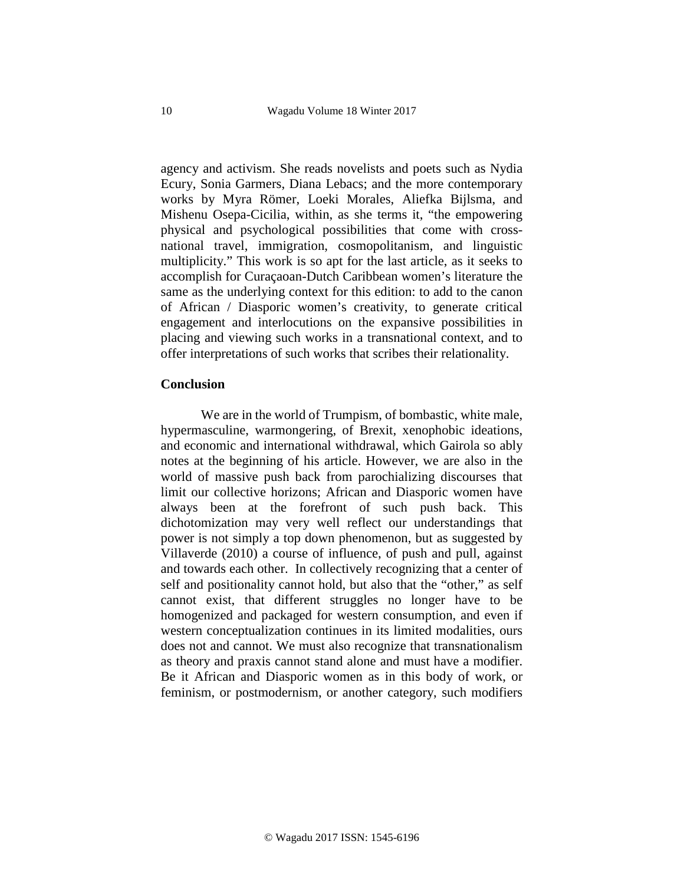agency and activism. She reads novelists and poets such as Nydia Ecury, Sonia Garmers, Diana Lebacs; and the more contemporary works by Myra Römer, Loeki Morales, Aliefka Bijlsma, and Mishenu Osepa-Cicilia, within, as she terms it, "the empowering physical and psychological possibilities that come with crossnational travel, immigration, cosmopolitanism, and linguistic multiplicity." This work is so apt for the last article, as it seeks to accomplish for Curaçaoan-Dutch Caribbean women's literature the same as the underlying context for this edition: to add to the canon of African / Diasporic women's creativity, to generate critical engagement and interlocutions on the expansive possibilities in placing and viewing such works in a transnational context, and to offer interpretations of such works that scribes their relationality.

## **Conclusion**

We are in the world of Trumpism, of bombastic, white male, hypermasculine, warmongering, of Brexit, xenophobic ideations, and economic and international withdrawal, which Gairola so ably notes at the beginning of his article. However, we are also in the world of massive push back from parochializing discourses that limit our collective horizons; African and Diasporic women have always been at the forefront of such push back. This dichotomization may very well reflect our understandings that power is not simply a top down phenomenon, but as suggested by Villaverde (2010) a course of influence, of push and pull, against and towards each other. In collectively recognizing that a center of self and positionality cannot hold, but also that the "other," as self cannot exist, that different struggles no longer have to be homogenized and packaged for western consumption, and even if western conceptualization continues in its limited modalities, ours does not and cannot. We must also recognize that transnationalism as theory and praxis cannot stand alone and must have a modifier. Be it African and Diasporic women as in this body of work, or feminism, or postmodernism, or another category, such modifiers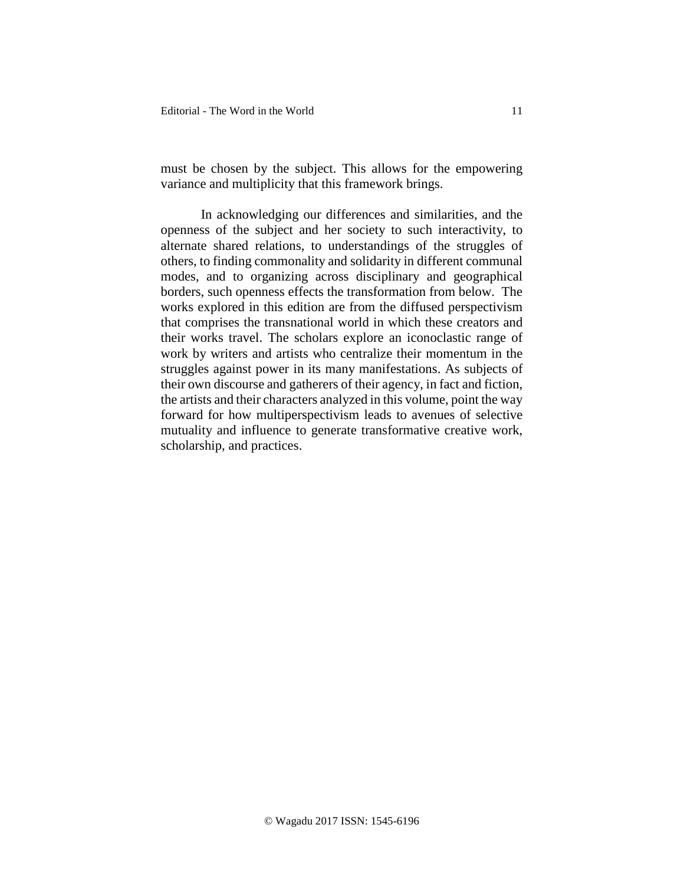must be chosen by the subject. This allows for the empowering variance and multiplicity that this framework brings.

In acknowledging our differences and similarities, and the openness of the subject and her society to such interactivity, to alternate shared relations, to understandings of the struggles of others, to finding commonality and solidarity in different communal modes, and to organizing across disciplinary and geographical borders, such openness effects the transformation from below. The works explored in this edition are from the diffused perspectivism that comprises the transnational world in which these creators and their works travel. The scholars explore an iconoclastic range of work by writers and artists who centralize their momentum in the struggles against power in its many manifestations. As subjects of their own discourse and gatherers of their agency, in fact and fiction, the artists and their characters analyzed in this volume, point the way forward for how multiperspectivism leads to avenues of selective mutuality and influence to generate transformative creative work, scholarship, and practices.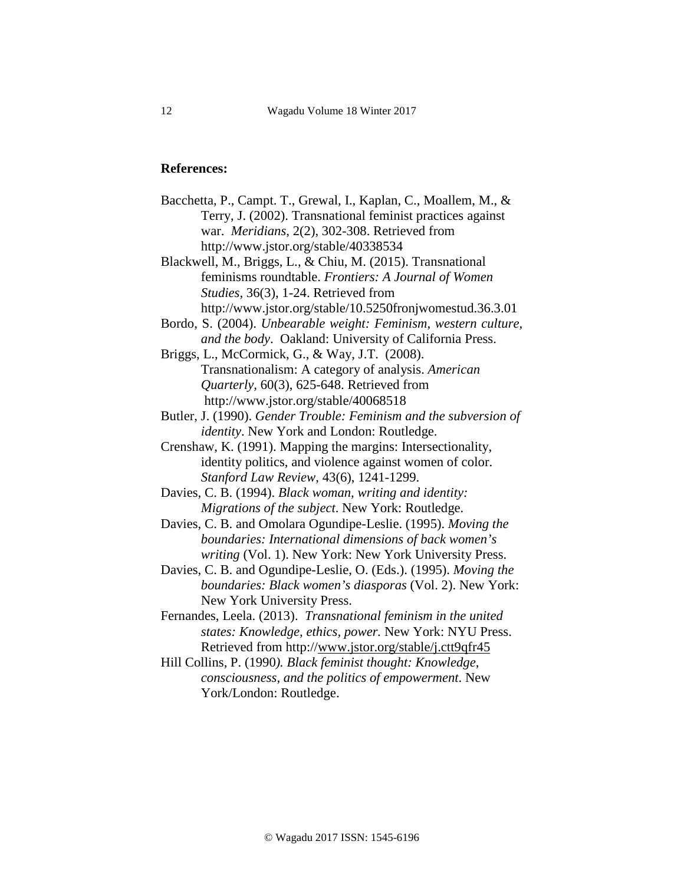## **References:**

Bacchetta, P., Campt. T., Grewal, I., Kaplan, C., Moallem, M., & Terry, J. (2002). Transnational feminist practices against war. *Meridians*, 2(2), 302-308. Retrieved from http://www.jstor.org/stable/40338534

Blackwell, M., Briggs, L., & Chiu, M. (2015). Transnational feminisms roundtable. *Frontiers: A Journal of Women Studies,* 36(3), 1-24. Retrieved from http://www.jstor.org/stable/10.5250fronjwomestud.36.3.01

- Bordo, S. (2004). *Unbearable weight: Feminism, western culture, and the body*. Oakland: University of California Press.
- Briggs, L., McCormick, G., & Way, J.T. (2008). Transnationalism: A category of analysis. *American Quarterly,* 60(3), 625-648. Retrieved from http://www.jstor.org/stable/40068518
- Butler, J. (1990). *Gender Trouble: Feminism and the subversion of identity*. New York and London: Routledge.
- Crenshaw, K. (1991). Mapping the margins: Intersectionality, identity politics, and violence against women of color. *Stanford Law Review*, 43(6), 1241-1299.
- Davies, C. B. (1994). *Black woman, writing and identity: Migrations of the subject*. New York: Routledge.
- Davies, C. B. and Omolara Ogundipe-Leslie. (1995). *Moving the boundaries: International dimensions of back women's writing* (Vol. 1). New York: New York University Press.
- Davies, C. B. and Ogundipe-Leslie, O. (Eds.). (1995). *Moving the boundaries: Black women's diasporas* (Vol. 2). New York: New York University Press.
- Fernandes, Leela. (2013). *Transnational feminism in the united states: Knowledge, ethics, power.* New York: NYU Press. Retrieved from http:/[/www.jstor.org/stable/j.ctt9qfr45](http://www.jstor.org/stable/j.ctt9qfr45)
- Hill Collins, P. (1990*). Black feminist thought: Knowledge, consciousness, and the politics of empowerment*. New York/London: Routledge.